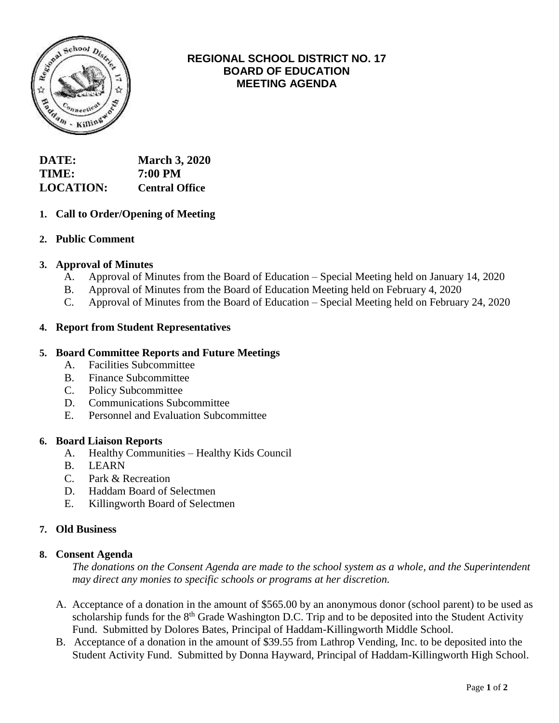

# **REGIONAL SCHOOL DISTRICT NO. 17 BOARD OF EDUCATION MEETING AGENDA**

| DATE:            | <b>March 3, 2020</b>  |
|------------------|-----------------------|
| TIME:            | 7:00 PM               |
| <b>LOCATION:</b> | <b>Central Office</b> |

# **1. Call to Order/Opening of Meeting**

### **2. Public Comment**

### **3. Approval of Minutes**

- A. Approval of Minutes from the Board of Education Special Meeting held on January 14, 2020
- B. Approval of Minutes from the Board of Education Meeting held on February 4, 2020
- C. Approval of Minutes from the Board of Education Special Meeting held on February 24, 2020

### **4. Report from Student Representatives**

### **5. Board Committee Reports and Future Meetings**

- A. Facilities Subcommittee
- B. Finance Subcommittee
- C. Policy Subcommittee
- D. Communications Subcommittee
- E. Personnel and Evaluation Subcommittee

#### **6. Board Liaison Reports**

- A. Healthy Communities Healthy Kids Council
- B. LEARN
- C. Park & Recreation
- D. Haddam Board of Selectmen
- E. Killingworth Board of Selectmen

### **7. Old Business**

#### **8. Consent Agenda**

*The donations on the Consent Agenda are made to the school system as a whole, and the Superintendent may direct any monies to specific schools or programs at her discretion.*

- A. Acceptance of a donation in the amount of \$565.00 by an anonymous donor (school parent) to be used as scholarship funds for the 8<sup>th</sup> Grade Washington D.C. Trip and to be deposited into the Student Activity Fund. Submitted by Dolores Bates, Principal of Haddam-Killingworth Middle School.
- B. Acceptance of a donation in the amount of \$39.55 from Lathrop Vending, Inc. to be deposited into the Student Activity Fund. Submitted by Donna Hayward, Principal of Haddam-Killingworth High School.